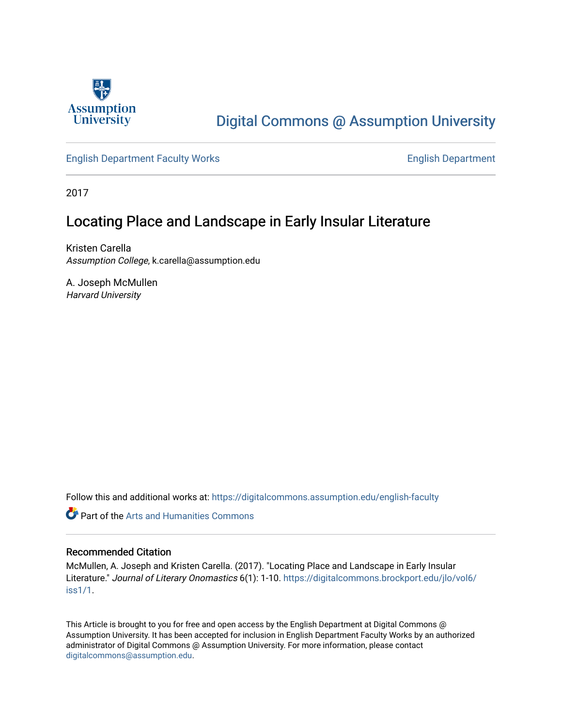

# [Digital Commons @ Assumption University](https://digitalcommons.assumption.edu/)

### [English Department Faculty Works](https://digitalcommons.assumption.edu/english-faculty) [English Department](https://digitalcommons.assumption.edu/english)

2017

# Locating Place and Landscape in Early Insular Literature

Kristen Carella Assumption College, k.carella@assumption.edu

A. Joseph McMullen Harvard University

Follow this and additional works at: [https://digitalcommons.assumption.edu/english-faculty](https://digitalcommons.assumption.edu/english-faculty?utm_source=digitalcommons.assumption.edu%2Fenglish-faculty%2F11&utm_medium=PDF&utm_campaign=PDFCoverPages) 

**C** Part of the Arts and Humanities Commons

### Recommended Citation

McMullen, A. Joseph and Kristen Carella. (2017). "Locating Place and Landscape in Early Insular Literature." Journal of Literary Onomastics 6(1): 1-10. [https://digitalcommons.brockport.edu/jlo/vol6/](https://digitalcommons.brockport.edu/jlo/vol6/iss1/1) [iss1/1](https://digitalcommons.brockport.edu/jlo/vol6/iss1/1).

This Article is brought to you for free and open access by the English Department at Digital Commons @ Assumption University. It has been accepted for inclusion in English Department Faculty Works by an authorized administrator of Digital Commons @ Assumption University. For more information, please contact [digitalcommons@assumption.edu](mailto:digitalcommons@assumption.edu).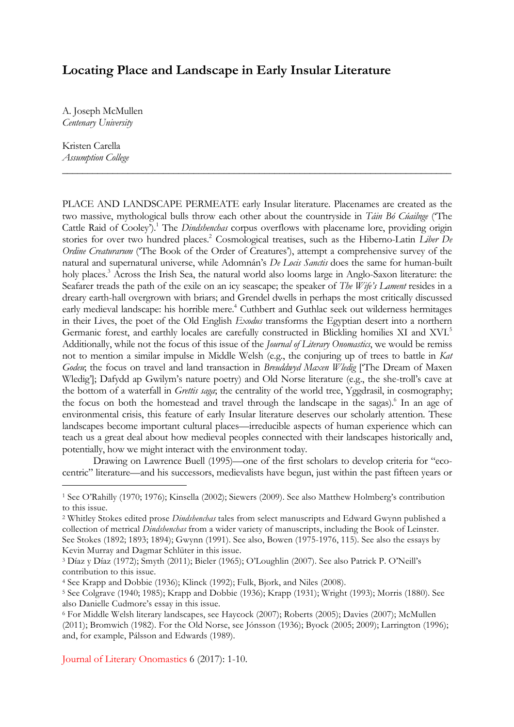## **Locating Place and Landscape in Early Insular Literature**

A. Joseph McMullen *Centenary University*

Kristen Carella *Assumption College*

PLACE AND LANDSCAPE PERMEATE early Insular literature. Placenames are created as the two massive, mythological bulls throw each other about the countryside in *Táin Bó Cúailnge* ('The Cattle Raid of Cooley').1 The *Dindshenchas* corpus overflows with placename lore, providing origin stories for over two hundred places.<sup>2</sup> Cosmological treatises, such as the Hiberno-Latin *Liber De Ordine Creaturarum* ('The Book of the Order of Creatures'), attempt a comprehensive survey of the natural and supernatural universe, while Adomnán's *De Locis Sanctis* does the same for human-built holy places.<sup>3</sup> Across the Irish Sea, the natural world also looms large in Anglo-Saxon literature: the Seafarer treads the path of the exile on an icy seascape; the speaker of *The Wife's Lament* resides in a dreary earth-hall overgrown with briars; and Grendel dwells in perhaps the most critically discussed early medieval landscape: his horrible mere.<sup>4</sup> Cuthbert and Guthlac seek out wilderness hermitages in their Lives, the poet of the Old English *Exodus* transforms the Egyptian desert into a northern Germanic forest, and earthly locales are carefully constructed in Blickling homilies XI and XVI.<sup>5</sup> Additionally, while not the focus of this issue of the *Journal of Literary Onomastics*, we would be remiss not to mention a similar impulse in Middle Welsh (e.g., the conjuring up of trees to battle in *Kat Godeu*; the focus on travel and land transaction in *Breuddwyd Maxen Wledig* ['The Dream of Maxen Wledig']; Dafydd ap Gwilym's nature poetry) and Old Norse literature (e.g., the she-troll's cave at the bottom of a waterfall in *Grettis saga*; the centrality of the world tree, Yggdrasil, in cosmography; the focus on both the homestead and travel through the landscape in the sagas).<sup>6</sup> In an age of environmental crisis, this feature of early Insular literature deserves our scholarly attention. These landscapes become important cultural places—irreducible aspects of human experience which can teach us a great deal about how medieval peoples connected with their landscapes historically and, potentially, how we might interact with the environment today.

*\_\_\_\_\_\_\_\_\_\_\_\_\_\_\_\_\_\_\_\_\_\_\_\_\_\_\_\_\_\_\_\_\_\_\_\_\_\_\_\_\_\_\_\_\_\_\_\_\_\_\_\_\_\_\_\_\_\_\_\_\_\_\_\_\_\_\_\_\_\_\_\_\_\_\_\_\_*

Drawing on Lawrence Buell (1995)—one of the first scholars to develop criteria for "ecocentric" literature—and his successors, medievalists have begun, just within the past fifteen years or

Journal of Literary Onomastics 6 (2017): 1-10.

<sup>1</sup> See O'Rahilly (1970; 1976); Kinsella (2002); Siewers (2009). See also Matthew Holmberg's contribution to this issue.

<sup>2</sup> Whitley Stokes edited prose *Dindshenchas* tales from select manuscripts and Edward Gwynn published a collection of metrical *Dindshenchas* from a wider variety of manuscripts, including the Book of Leinster. See Stokes (1892; 1893; 1894); Gwynn (1991). See also, Bowen (1975-1976, 115). See also the essays by Kevin Murray and Dagmar Schlüter in this issue.

<sup>3</sup> Díaz y Díaz (1972); Smyth (2011); Bieler (1965); O'Loughlin (2007). See also Patrick P. O'Neill's contribution to this issue.

<sup>4</sup> See Krapp and Dobbie (1936); Klinck (1992); Fulk, Bjork, and Niles (2008).

<sup>5</sup> See Colgrave (1940; 1985); Krapp and Dobbie (1936); Krapp (1931); Wright (1993); Morris (1880). See also Danielle Cudmore's essay in this issue.

<sup>6</sup> For Middle Welsh literary landscapes, see Haycock (2007); Roberts (2005); Davies (2007); McMullen (2011); Bromwich (1982). For the Old Norse, see Jónsson (1936); Byock (2005; 2009); Larrington (1996); and, for example, Pálsson and Edwards (1989).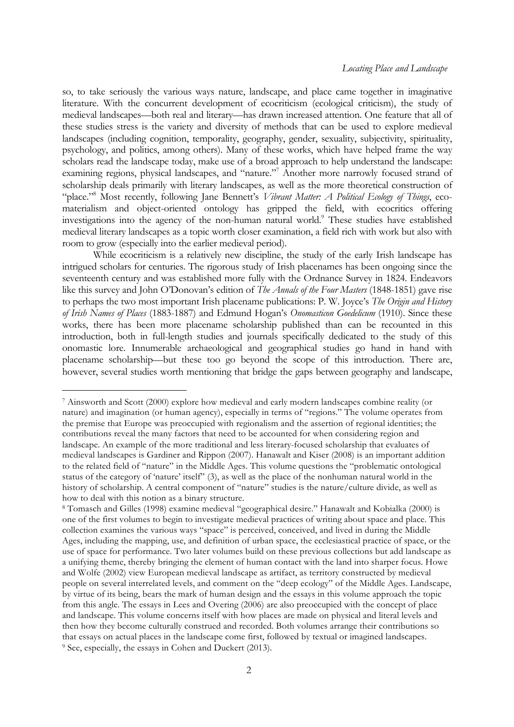so, to take seriously the various ways nature, landscape, and place came together in imaginative literature. With the concurrent development of ecocriticism (ecological criticism), the study of medieval landscapes—both real and literary—has drawn increased attention. One feature that all of these studies stress is the variety and diversity of methods that can be used to explore medieval landscapes (including cognition, temporality, geography, gender, sexuality, subjectivity, spirituality, psychology, and politics, among others). Many of these works, which have helped frame the way scholars read the landscape today, make use of a broad approach to help understand the landscape: examining regions, physical landscapes, and "nature."<sup>7</sup> Another more narrowly focused strand of scholarship deals primarily with literary landscapes, as well as the more theoretical construction of "place."8 Most recently, following Jane Bennett's *Vibrant Matter: A Political Ecology of Things*, ecomaterialism and object-oriented ontology has gripped the field, with ecocritics offering investigations into the agency of the non-human natural world.<sup>9</sup> These studies have established medieval literary landscapes as a topic worth closer examination, a field rich with work but also with room to grow (especially into the earlier medieval period).

While ecocriticism is a relatively new discipline, the study of the early Irish landscape has intrigued scholars for centuries. The rigorous study of Irish placenames has been ongoing since the seventeenth century and was established more fully with the Ordnance Survey in 1824. Endeavors like this survey and John O'Donovan's edition of *The Annals of the Four Masters* (1848-1851) gave rise to perhaps the two most important Irish placename publications: P. W. Joyce's *The Origin and History of Irish Names of Places* (1883-1887) and Edmund Hogan's *Onomasticon Goedelicum* (1910). Since these works, there has been more placename scholarship published than can be recounted in this introduction, both in full-length studies and journals specifically dedicated to the study of this onomastic lore. Innumerable archaeological and geographical studies go hand in hand with placename scholarship—but these too go beyond the scope of this introduction. There are, however, several studies worth mentioning that bridge the gaps between geography and landscape,

<sup>7</sup> Ainsworth and Scott (2000) explore how medieval and early modern landscapes combine reality (or nature) and imagination (or human agency), especially in terms of "regions." The volume operates from the premise that Europe was preoccupied with regionalism and the assertion of regional identities; the contributions reveal the many factors that need to be accounted for when considering region and landscape. An example of the more traditional and less literary-focused scholarship that evaluates of medieval landscapes is Gardiner and Rippon (2007). Hanawalt and Kiser (2008) is an important addition to the related field of "nature" in the Middle Ages. This volume questions the "problematic ontological status of the category of 'nature' itself" (3), as well as the place of the nonhuman natural world in the history of scholarship. A central component of "nature" studies is the nature/culture divide, as well as how to deal with this notion as a binary structure.

<sup>8</sup> Tomasch and Gilles (1998) examine medieval "geographical desire." Hanawalt and Kobialka (2000) is one of the first volumes to begin to investigate medieval practices of writing about space and place. This collection examines the various ways "space" is perceived, conceived, and lived in during the Middle Ages, including the mapping, use, and definition of urban space, the ecclesiastical practice of space, or the use of space for performance. Two later volumes build on these previous collections but add landscape as a unifying theme, thereby bringing the element of human contact with the land into sharper focus. Howe and Wolfe (2002) view European medieval landscape as artifact, as territory constructed by medieval people on several interrelated levels, and comment on the "deep ecology" of the Middle Ages. Landscape, by virtue of its being, bears the mark of human design and the essays in this volume approach the topic from this angle. The essays in Lees and Overing (2006) are also preoccupied with the concept of place and landscape. This volume concerns itself with how places are made on physical and literal levels and then how they become culturally construed and recorded. Both volumes arrange their contributions so that essays on actual places in the landscape come first, followed by textual or imagined landscapes. <sup>9</sup> See, especially, the essays in Cohen and Duckert (2013).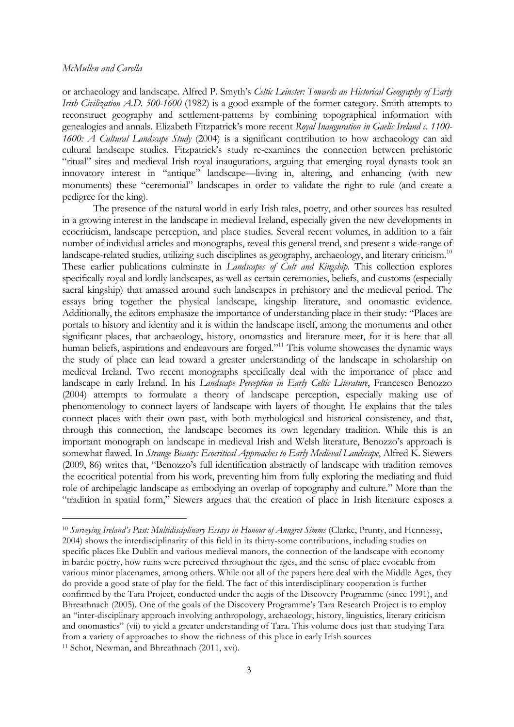or archaeology and landscape. Alfred P. Smyth's *Celtic Leinster: Towards an Historical Geography of Early Irish Civilization A.D. 500-1600* (1982) is a good example of the former category. Smith attempts to reconstruct geography and settlement-patterns by combining topographical information with genealogies and annals. Elizabeth Fitzpatrick's more recent *Royal Inauguration in Gaelic Ireland c. 1100- 1600: A Cultural Landscape Study* (2004) is a significant contribution to how archaeology can aid cultural landscape studies. Fitzpatrick's study re-examines the connection between prehistoric "ritual" sites and medieval Irish royal inaugurations, arguing that emerging royal dynasts took an innovatory interest in "antique" landscape—living in, altering, and enhancing (with new monuments) these "ceremonial" landscapes in order to validate the right to rule (and create a pedigree for the king).

The presence of the natural world in early Irish tales, poetry, and other sources has resulted in a growing interest in the landscape in medieval Ireland, especially given the new developments in ecocriticism, landscape perception, and place studies. Several recent volumes, in addition to a fair number of individual articles and monographs, reveal this general trend, and present a wide-range of landscape-related studies, utilizing such disciplines as geography, archaeology, and literary criticism.<sup>10</sup> These earlier publications culminate in *Landscapes of Cult and Kingship*. This collection explores specifically royal and lordly landscapes, as well as certain ceremonies, beliefs, and customs (especially sacral kingship) that amassed around such landscapes in prehistory and the medieval period. The essays bring together the physical landscape, kingship literature, and onomastic evidence. Additionally, the editors emphasize the importance of understanding place in their study: "Places are portals to history and identity and it is within the landscape itself, among the monuments and other significant places, that archaeology, history, onomastics and literature meet, for it is here that all human beliefs, aspirations and endeavours are forged."<sup>11</sup> This volume showcases the dynamic ways the study of place can lead toward a greater understanding of the landscape in scholarship on medieval Ireland. Two recent monographs specifically deal with the importance of place and landscape in early Ireland. In his *Landscape Perception in Early Celtic Literature*, Francesco Benozzo (2004) attempts to formulate a theory of landscape perception, especially making use of phenomenology to connect layers of landscape with layers of thought. He explains that the tales connect places with their own past, with both mythological and historical consistency, and that, through this connection, the landscape becomes its own legendary tradition. While this is an important monograph on landscape in medieval Irish and Welsh literature, Benozzo's approach is somewhat flawed. In *Strange Beauty: Ecocritical Approaches to Early Medieval Landscape*, Alfred K. Siewers (2009, 86) writes that, "Benozzo's full identification abstractly of landscape with tradition removes the ecocritical potential from his work, preventing him from fully exploring the mediating and fluid role of archipelagic landscape as embodying an overlap of topography and culture." More than the "tradition in spatial form," Siewers argues that the creation of place in Irish literature exposes a

<sup>10</sup> *Surveying Ireland's Past: Multidisciplinary Essays in Honour of Anngret Simms* (Clarke, Prunty, and Hennessy, 2004) shows the interdisciplinarity of this field in its thirty-some contributions, including studies on specific places like Dublin and various medieval manors, the connection of the landscape with economy in bardic poetry, how ruins were perceived throughout the ages, and the sense of place evocable from various minor placenames, among others. While not all of the papers here deal with the Middle Ages, they do provide a good state of play for the field. The fact of this interdisciplinary cooperation is further confirmed by the Tara Project, conducted under the aegis of the Discovery Programme (since 1991), and Bhreathnach (2005). One of the goals of the Discovery Programme's Tara Research Project is to employ an "inter-disciplinary approach involving anthropology, archaeology, history, linguistics, literary criticism and onomastics" (vii) to yield a greater understanding of Tara. This volume does just that: studying Tara from a variety of approaches to show the richness of this place in early Irish sources <sup>11</sup> Schot, Newman, and Bhreathnach (2011, xvi).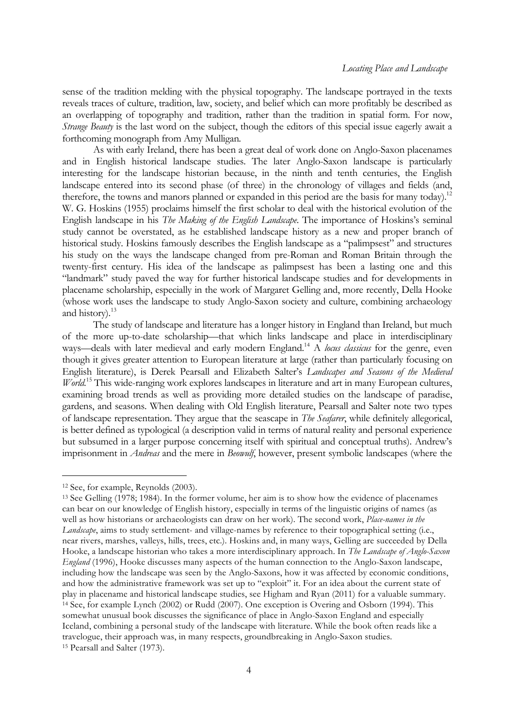sense of the tradition melding with the physical topography. The landscape portrayed in the texts reveals traces of culture, tradition, law, society, and belief which can more profitably be described as an overlapping of topography and tradition, rather than the tradition in spatial form. For now, *Strange Beauty* is the last word on the subject, though the editors of this special issue eagerly await a forthcoming monograph from Amy Mulligan*.*

As with early Ireland, there has been a great deal of work done on Anglo-Saxon placenames and in English historical landscape studies. The later Anglo-Saxon landscape is particularly interesting for the landscape historian because, in the ninth and tenth centuries, the English landscape entered into its second phase (of three) in the chronology of villages and fields (and, therefore, the towns and manors planned or expanded in this period are the basis for many today).<sup>12</sup> W. G. Hoskins (1955) proclaims himself the first scholar to deal with the historical evolution of the English landscape in his *The Making of the English Landscape*. The importance of Hoskins's seminal study cannot be overstated, as he established landscape history as a new and proper branch of historical study. Hoskins famously describes the English landscape as a "palimpsest" and structures his study on the ways the landscape changed from pre-Roman and Roman Britain through the twenty-first century. His idea of the landscape as palimpsest has been a lasting one and this "landmark" study paved the way for further historical landscape studies and for developments in placename scholarship, especially in the work of Margaret Gelling and, more recently, Della Hooke (whose work uses the landscape to study Anglo-Saxon society and culture, combining archaeology and history).<sup>13</sup>

The study of landscape and literature has a longer history in England than Ireland, but much of the more up-to-date scholarship—that which links landscape and place in interdisciplinary ways—deals with later medieval and early modern England.14 A *locus classicus* for the genre, even though it gives greater attention to European literature at large (rather than particularly focusing on English literature), is Derek Pearsall and Elizabeth Salter's *Landscapes and Seasons of the Medieval World*. <sup>15</sup> This wide-ranging work explores landscapes in literature and art in many European cultures, examining broad trends as well as providing more detailed studies on the landscape of paradise, gardens, and seasons. When dealing with Old English literature, Pearsall and Salter note two types of landscape representation. They argue that the seascape in *The Seafarer*, while definitely allegorical, is better defined as typological (a description valid in terms of natural reality and personal experience but subsumed in a larger purpose concerning itself with spiritual and conceptual truths). Andrew's imprisonment in *Andreas* and the mere in *Beowulf*, however, present symbolic landscapes (where the

i<br>I

<sup>12</sup> See, for example, Reynolds (2003).

<sup>13</sup> See Gelling (1978; 1984). In the former volume, her aim is to show how the evidence of placenames can bear on our knowledge of English history, especially in terms of the linguistic origins of names (as well as how historians or archaeologists can draw on her work). The second work, *Place-names in the Landscape*, aims to study settlement- and village-names by reference to their topographical setting (i.e., near rivers, marshes, valleys, hills, trees, etc.). Hoskins and, in many ways, Gelling are succeeded by Della Hooke, a landscape historian who takes a more interdisciplinary approach. In *The Landscape of Anglo-Saxon England* (1996), Hooke discusses many aspects of the human connection to the Anglo-Saxon landscape, including how the landscape was seen by the Anglo-Saxons, how it was affected by economic conditions, and how the administrative framework was set up to "exploit" it. For an idea about the current state of play in placename and historical landscape studies, see Higham and Ryan (2011) for a valuable summary. <sup>14</sup> See, for example Lynch (2002) or Rudd (2007). One exception is Overing and Osborn (1994). This somewhat unusual book discusses the significance of place in Anglo-Saxon England and especially Iceland, combining a personal study of the landscape with literature. While the book often reads like a travelogue, their approach was, in many respects, groundbreaking in Anglo-Saxon studies. <sup>15</sup> Pearsall and Salter (1973).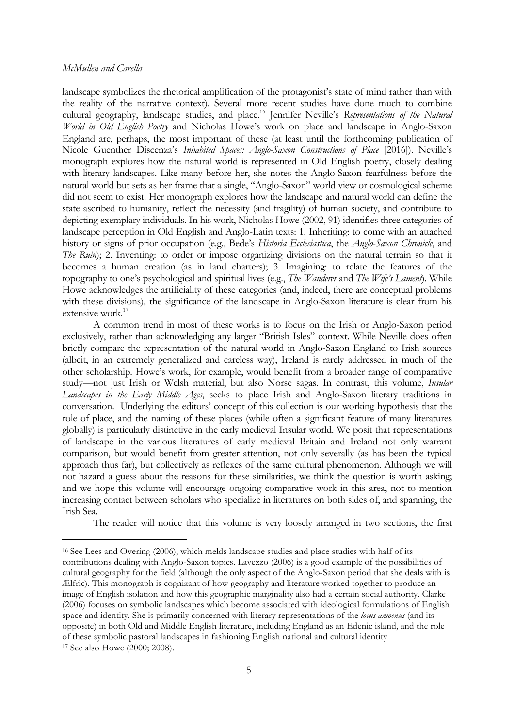÷,

landscape symbolizes the rhetorical amplification of the protagonist's state of mind rather than with the reality of the narrative context). Several more recent studies have done much to combine cultural geography, landscape studies, and place.<sup>16</sup> Jennifer Neville's *Representations of the Natural World in Old English Poetry* and Nicholas Howe's work on place and landscape in Anglo-Saxon England are, perhaps, the most important of these (at least until the forthcoming publication of Nicole Guenther Discenza's *Inhabited Spaces: Anglo-Saxon Constructions of Place* [2016]). Neville's monograph explores how the natural world is represented in Old English poetry, closely dealing with literary landscapes. Like many before her, she notes the Anglo-Saxon fearfulness before the natural world but sets as her frame that a single, "Anglo-Saxon" world view or cosmological scheme did not seem to exist. Her monograph explores how the landscape and natural world can define the state ascribed to humanity, reflect the necessity (and fragility) of human society, and contribute to depicting exemplary individuals. In his work, Nicholas Howe (2002, 91) identifies three categories of landscape perception in Old English and Anglo-Latin texts: 1. Inheriting: to come with an attached history or signs of prior occupation (e.g., Bede's *Historia Ecclesiastica*, the *Anglo-Saxon Chronicle*, and *The Ruin*); 2. Inventing: to order or impose organizing divisions on the natural terrain so that it becomes a human creation (as in land charters); 3. Imagining: to relate the features of the topography to one's psychological and spiritual lives (e.g., *The Wanderer* and *The Wife's Lament*). While Howe acknowledges the artificiality of these categories (and, indeed, there are conceptual problems with these divisions), the significance of the landscape in Anglo-Saxon literature is clear from his extensive work.<sup>17</sup>

A common trend in most of these works is to focus on the Irish or Anglo-Saxon period exclusively, rather than acknowledging any larger "British Isles" context. While Neville does often briefly compare the representation of the natural world in Anglo-Saxon England to Irish sources (albeit, in an extremely generalized and careless way), Ireland is rarely addressed in much of the other scholarship. Howe's work, for example, would benefit from a broader range of comparative study—not just Irish or Welsh material, but also Norse sagas. In contrast, this volume, *Insular Landscapes in the Early Middle Ages*, seeks to place Irish and Anglo-Saxon literary traditions in conversation. Underlying the editors' concept of this collection is our working hypothesis that the role of place, and the naming of these places (while often a significant feature of many literatures globally) is particularly distinctive in the early medieval Insular world. We posit that representations of landscape in the various literatures of early medieval Britain and Ireland not only warrant comparison, but would benefit from greater attention, not only severally (as has been the typical approach thus far), but collectively as reflexes of the same cultural phenomenon. Although we will not hazard a guess about the reasons for these similarities, we think the question is worth asking; and we hope this volume will encourage ongoing comparative work in this area, not to mention increasing contact between scholars who specialize in literatures on both sides of, and spanning, the Irish Sea.

The reader will notice that this volume is very loosely arranged in two sections, the first

<sup>16</sup> See Lees and Overing (2006), which melds landscape studies and place studies with half of its contributions dealing with Anglo-Saxon topics. Lavezzo (2006) is a good example of the possibilities of cultural geography for the field (although the only aspect of the Anglo-Saxon period that she deals with is Ælfric). This monograph is cognizant of how geography and literature worked together to produce an image of English isolation and how this geographic marginality also had a certain social authority. Clarke (2006) focuses on symbolic landscapes which become associated with ideological formulations of English space and identity. She is primarily concerned with literary representations of the *locus amoenus* (and its opposite) in both Old and Middle English literature, including England as an Edenic island, and the role of these symbolic pastoral landscapes in fashioning English national and cultural identity <sup>17</sup> See also Howe (2000; 2008).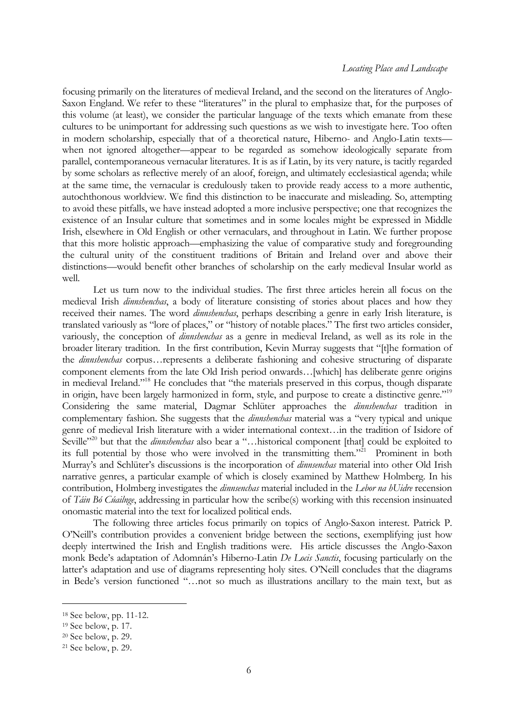focusing primarily on the literatures of medieval Ireland, and the second on the literatures of Anglo-Saxon England. We refer to these "literatures" in the plural to emphasize that, for the purposes of this volume (at least), we consider the particular language of the texts which emanate from these cultures to be unimportant for addressing such questions as we wish to investigate here. Too often in modern scholarship, especially that of a theoretical nature, Hiberno- and Anglo-Latin texts when not ignored altogether—appear to be regarded as somehow ideologically separate from parallel, contemporaneous vernacular literatures. It is as if Latin, by its very nature, is tacitly regarded by some scholars as reflective merely of an aloof, foreign, and ultimately ecclesiastical agenda; while at the same time, the vernacular is credulously taken to provide ready access to a more authentic, autochthonous worldview. We find this distinction to be inaccurate and misleading. So, attempting to avoid these pitfalls, we have instead adopted a more inclusive perspective; one that recognizes the existence of an Insular culture that sometimes and in some locales might be expressed in Middle Irish, elsewhere in Old English or other vernaculars, and throughout in Latin. We further propose that this more holistic approach—emphasizing the value of comparative study and foregrounding the cultural unity of the constituent traditions of Britain and Ireland over and above their distinctions—would benefit other branches of scholarship on the early medieval Insular world as well.

Let us turn now to the individual studies. The first three articles herein all focus on the medieval Irish *dinnshenchas*, a body of literature consisting of stories about places and how they received their names. The word *dinnshenchas*, perhaps describing a genre in early Irish literature, is translated variously as "lore of places," or "history of notable places." The first two articles consider, variously, the conception of *dinnshenchas* as a genre in medieval Ireland, as well as its role in the broader literary tradition. In the first contribution, Kevin Murray suggests that "[t]he formation of the *dinnshenchas* corpus…represents a deliberate fashioning and cohesive structuring of disparate component elements from the late Old Irish period onwards…[which] has deliberate genre origins in medieval Ireland."18 He concludes that "the materials preserved in this corpus, though disparate in origin, have been largely harmonized in form, style, and purpose to create a distinctive genre."19 Considering the same material, Dagmar Schlüter approaches the *dinnshenchas* tradition in complementary fashion. She suggests that the *dinnshenchas* material was a "very typical and unique genre of medieval Irish literature with a wider international context…in the tradition of Isidore of Seville<sup>"20</sup> but that the *dinnshenchas* also bear a "...historical component [that] could be exploited to its full potential by those who were involved in the transmitting them."<sup>21</sup> Prominent in both Murray's and Schlüter's discussions is the incorporation of *dinnsenchas* material into other Old Irish narrative genres, a particular example of which is closely examined by Matthew Holmberg. In his contribution, Holmberg investigates the *dinnsenchas* material included in the *Lebor na hUidre* recension of *Táin Bó Cúailnge*, addressing in particular how the scribe(s) working with this recension insinuated onomastic material into the text for localized political ends.

The following three articles focus primarily on topics of Anglo-Saxon interest. Patrick P. O'Neill's contribution provides a convenient bridge between the sections, exemplifying just how deeply intertwined the Irish and English traditions were. His article discusses the Anglo-Saxon monk Bede's adaptation of Adomnán's Hiberno-Latin *De Locis Sanctis*, focusing particularly on the latter's adaptation and use of diagrams representing holy sites. O'Neill concludes that the diagrams in Bede's version functioned "…not so much as illustrations ancillary to the main text, but as

÷,

<sup>18</sup> See below, pp. 11-12.

<sup>19</sup> See below, p. 17.

<sup>20</sup> See below, p. 29.

<sup>21</sup> See below, p. 29.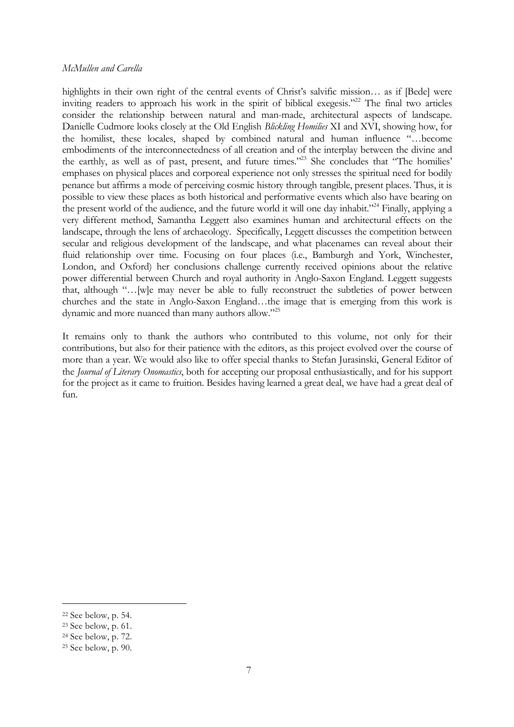highlights in their own right of the central events of Christ's salvific mission... as if [Bede] were inviting readers to approach his work in the spirit of biblical exegesis."22 The final two articles consider the relationship between natural and man-made, architectural aspects of landscape. Danielle Cudmore looks closely at the Old English *Blickling Homilies* XI and XVI, showing how, for the homilist, these locales, shaped by combined natural and human influence "…become embodiments of the interconnectedness of all creation and of the interplay between the divine and the earthly, as well as of past, present, and future times."23 She concludes that "The homilies' emphases on physical places and corporeal experience not only stresses the spiritual need for bodily penance but affirms a mode of perceiving cosmic history through tangible, present places. Thus, it is possible to view these places as both historical and performative events which also have bearing on the present world of the audience, and the future world it will one day inhabit."24 Finally, applying a very different method, Samantha Leggett also examines human and architectural effects on the landscape, through the lens of archaeology. Specifically, Leggett discusses the competition between secular and religious development of the landscape, and what placenames can reveal about their fluid relationship over time. Focusing on four places (i.e., Bamburgh and York, Winchester, London, and Oxford) her conclusions challenge currently received opinions about the relative power differential between Church and royal authority in Anglo-Saxon England. Leggett suggests that, although "…[w]e may never be able to fully reconstruct the subtleties of power between churches and the state in Anglo-Saxon England…the image that is emerging from this work is dynamic and more nuanced than many authors allow."25

It remains only to thank the authors who contributed to this volume, not only for their contributions, but also for their patience with the editors, as this project evolved over the course of more than a year. We would also like to offer special thanks to Stefan Jurasinski, General Editor of the *Journal of Literary Onomastics*, both for accepting our proposal enthusiastically, and for his support for the project as it came to fruition. Besides having learned a great deal, we have had a great deal of fun.

÷,

<sup>22</sup> See below, p. 54.

<sup>23</sup> See below, p. 61.

<sup>24</sup> See below, p. 72.

<sup>25</sup> See below, p. 90.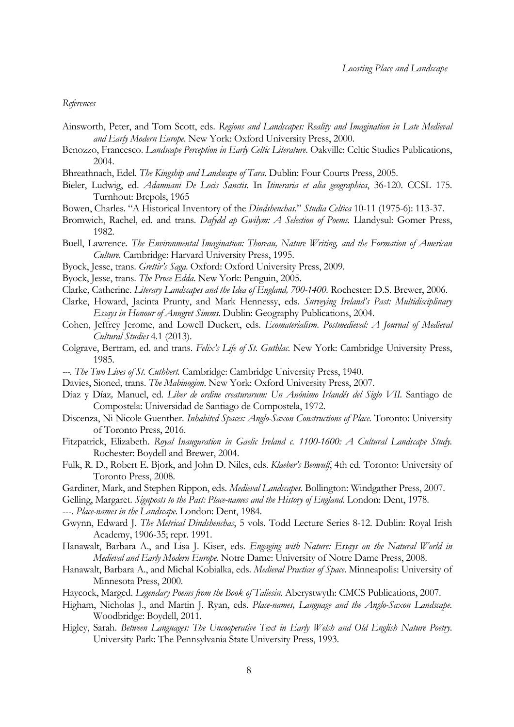#### *References*

- Ainsworth, Peter, and Tom Scott, eds. *Regions and Landscapes: Reality and Imagination in Late Medieval and Early Modern Europe*. New York: Oxford University Press, 2000.
- Benozzo, Francesco. *Landscape Perception in Early Celtic Literature*. Oakville: Celtic Studies Publications, 2004.
- Bhreathnach, Edel. *The Kingship and Landscape of Tara*. Dublin: Four Courts Press, 2005.
- Bieler, Ludwig, ed. *Adamnani De Locis Sanctis*. In *Itineraria et alia geographica*, 36-120. CCSL 175. Turnhout: Brepols, 1965
- Bowen, Charles. "A Historical Inventory of the *Dindshenchas*." *Studia Celtica* 10-11 (1975-6): 113-37.
- Bromwich, Rachel, ed. and trans. *Dafydd ap Gwilym: A Selection of Poems.* Llandysul: Gomer Press, 1982.
- Buell, Lawrence. *The Environmental Imagination: Thoreau, Nature Writing, and the Formation of American Culture*. Cambridge: Harvard University Press, 1995.
- Byock, Jesse, trans. *Grettir's Saga*. Oxford: Oxford University Press, 2009.
- Byock, Jesse, trans. *The Prose Edda*. New York: Penguin, 2005.
- Clarke, Catherine. *Literary Landscapes and the Idea of England, 700-1400.* Rochester: D.S. Brewer, 2006.
- Clarke, Howard, Jacinta Prunty, and Mark Hennessy, eds. *Surveying Ireland's Past: Multidisciplinary Essays in Honour of Anngret Simms*. Dublin: Geography Publications, 2004.
- Cohen, Jeffrey Jerome, and Lowell Duckert, eds. *Ecomaterialism*. *Postmedieval: A Journal of Medieval Cultural Studies* 4.1 (2013).
- Colgrave, Bertram, ed. and trans. *Felix's Life of St. Guthlac*. New York: Cambridge University Press, 1985.
- *---. The Two Lives of St. Cuthbert.* Cambridge: Cambridge University Press, 1940.
- Davies, Sioned, trans. *The Mabinogion*. New York: Oxford University Press, 2007.
- Díaz y Díaz*,* Manuel, ed. *Liber de ordine creaturarum: Un Anónimo Irlandés del Siglo VII.* Santiago de Compostela: Universidad de Santiago de Compostela, 1972.
- Discenza, Ni Nicole Guenther. *Inhabited Spaces: Anglo-Saxon Constructions of Place.* Toronto: University of Toronto Press, 2016.
- Fitzpatrick, Elizabeth. *Royal Inauguration in Gaelic Ireland c. 1100-1600: A Cultural Landscape Study.*  Rochester: Boydell and Brewer, 2004.
- Fulk, R. D., Robert E. Bjork, and John D. Niles, eds. *Klaeber's Beowulf*, 4th ed. Toronto: University of Toronto Press, 2008.
- Gardiner, Mark, and Stephen Rippon, eds. *Medieval Landscapes.* Bollington: Windgather Press, 2007.
- Gelling, Margaret. *Signposts to the Past: Place-names and the History of England.* London: Dent, 1978.

---. *Place-names in the Landscape*. London: Dent, 1984.

- Gwynn, Edward J. *The Metrical Dindshenchas*, 5 vols. Todd Lecture Series 8-12. Dublin: Royal Irish Academy, 1906-35; repr. 1991.
- Hanawalt, Barbara A., and Lisa J. Kiser, eds. *Engaging with Nature: Essays on the Natural World in Medieval and Early Modern Europe.* Notre Dame: University of Notre Dame Press, 2008.
- Hanawalt, Barbara A., and Michal Kobialka, eds. *Medieval Practices of Space*. Minneapolis: University of Minnesota Press, 2000.
- Haycock, Marged. *Legendary Poems from the Book of Taliesin*. Aberystwyth: CMCS Publications, 2007.
- Higham, Nicholas J., and Martin J. Ryan, eds. *Place-names, Language and the Anglo-Saxon Landscape.*  Woodbridge: Boydell, 2011.
- Higley, Sarah. *Between Languages: The Uncooperative Text in Early Welsh and Old English Nature Poetry*. University Park: The Pennsylvania State University Press, 1993.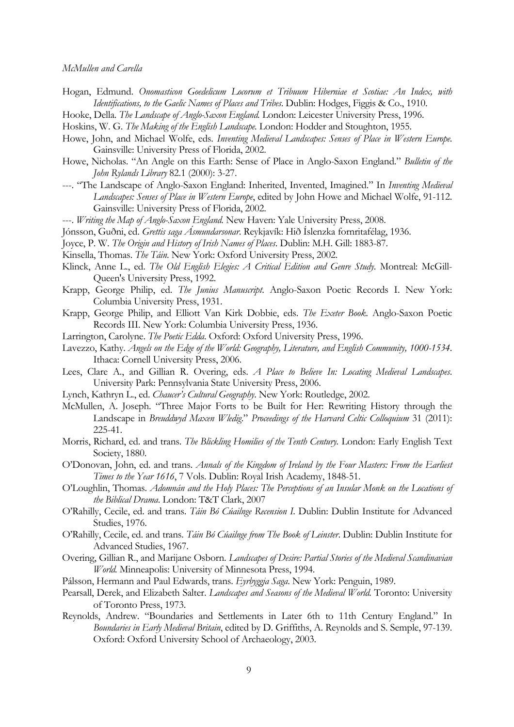- Hogan, Edmund. *Onomasticon Goedelicum Locorum et Tribuum Hiberniae et Scotiae: An Index, with Identifications, to the Gaelic Names of Places and Tribes*. Dublin: Hodges, Figgis & Co., 1910.
- Hooke, Della. *The Landscape of Anglo-Saxon England.* London: Leicester University Press, 1996.
- Hoskins, W. G. *The Making of the English Landscape.* London: Hodder and Stoughton, 1955.
- Howe, John, and Michael Wolfe, eds. *Inventing Medieval Landscapes: Senses of Place in Western Europe*. Gainsville: University Press of Florida, 2002.
- Howe, Nicholas. "An Angle on this Earth: Sense of Place in Anglo-Saxon England." *Bulletin of the John Rylands Library* 82.1 (2000): 3-27.
- ---. "The Landscape of Anglo-Saxon England: Inherited, Invented, Imagined." In *Inventing Medieval Landscapes: Senses of Place in Western Europe*, edited by John Howe and Michael Wolfe, 91-112. Gainsville: University Press of Florida, 2002.
- ---. *Writing the Map of Anglo-Saxon England.* New Haven: Yale University Press, 2008.
- Jónsson, Guðni, ed. *Grettis saga Ásmundarsonar*. Reykjavík: Hið Íslenzka fornritafélag, 1936.
- Joyce, P. W. *The Origin and History of Irish Names of Places*. Dublin: M.H. Gill: 1883-87.
- Kinsella, Thomas. *The Táin*. New York: Oxford University Press, 2002.
- Klinck, Anne L., ed. *The Old English Elegies: A Critical Edition and Genre Study*. Montreal: McGill-Queen's University Press, 1992.
- Krapp, George Philip, ed. *The Junius Manuscript*. Anglo-Saxon Poetic Records I. New York: Columbia University Press, 1931.
- Krapp, George Philip, and Elliott Van Kirk Dobbie, eds. *The Exeter Book*. Anglo-Saxon Poetic Records III. New York: Columbia University Press, 1936.
- Larrington, Carolyne. *The Poetic Edda*. Oxford: Oxford University Press, 1996.
- Lavezzo, Kathy. *Angels on the Edge of the World: Geography, Literature, and English Community, 1000-1534*. Ithaca: Cornell University Press, 2006.
- Lees, Clare A., and Gillian R. Overing, eds. *A Place to Believe In: Locating Medieval Landscapes*. University Park: Pennsylvania State University Press, 2006.
- Lynch, Kathryn L., ed. *Chaucer's Cultural Geography*. New York: Routledge, 2002.
- McMullen, A. Joseph. "Three Major Forts to be Built for Her: Rewriting History through the Landscape in *Breuddwyd Maxen Wledig*." *Proceedings of the Harvard Celtic Colloquium* 31 (2011): 225-41.
- Morris, Richard, ed. and trans. *The Blickling Homilies of the Tenth Century.* London: Early English Text Society, 1880.
- O'Donovan, John, ed. and trans. *Annals of the Kingdom of Ireland by the Four Masters: From the Earliest Times to the Year 1616*, 7 Vols. Dublin: Royal Irish Academy, 1848-51.
- O'Loughlin, Thomas. *Adomnán and the Holy Places: The Perceptions of an Insular Monk on the Locations of the Biblical Drama*. London: T&T Clark, 2007
- O'Rahilly, Cecile, ed. and trans. *Táin Bó Cúailnge Recension I*. Dublin: Dublin Institute for Advanced Studies, 1976.
- O'Rahilly, Cecile, ed. and trans. *Táin Bó Cúailnge from The Book of Leinster*. Dublin: Dublin Institute for Advanced Studies, 1967.
- Overing, Gillian R., and Marijane Osborn. *Landscapes of Desire: Partial Stories of the Medieval Scandinavian World.* Minneapolis: University of Minnesota Press, 1994.
- Pálsson, Hermann and Paul Edwards, trans. *Eyrbyggja Saga*. New York: Penguin, 1989.
- Pearsall, Derek, and Elizabeth Salter. *Landscapes and Seasons of the Medieval World.* Toronto: University of Toronto Press, 1973.
- Reynolds, Andrew. "Boundaries and Settlements in Later 6th to 11th Century England." In *Boundaries in Early Medieval Britain*, edited by D. Griffiths, A. Reynolds and S. Semple, 97-139. Oxford: Oxford University School of Archaeology, 2003.